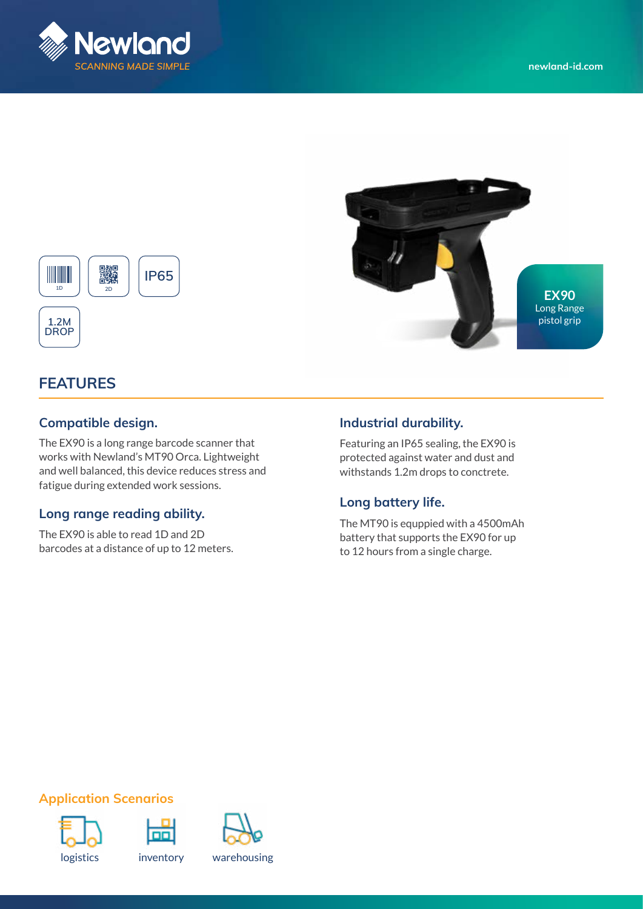



# **FEATURES**

**DROP**

**1D**

#### **Compatible design.**

譏

The EX90 is a long range barcode scanner that works with Newland's MT90 Orca. Lightweight and well balanced, this device reduces stress and fatigue during extended work sessions.

**IP65**

### **Long range reading ability.**

The EX90 is able to read 1D and 2D barcodes at a distance of up to 12 meters.

## **Industrial durability.**

Featuring an IP65 sealing, the EX90 is protected against water and dust and withstands 1.2m drops to conctrete.

### **Long battery life.**

The MT90 is equppied with a 4500mAh battery that supports the EX90 for up to 12 hours from a single charge.

# **Application Scenarios**







logistics inventory warehousing